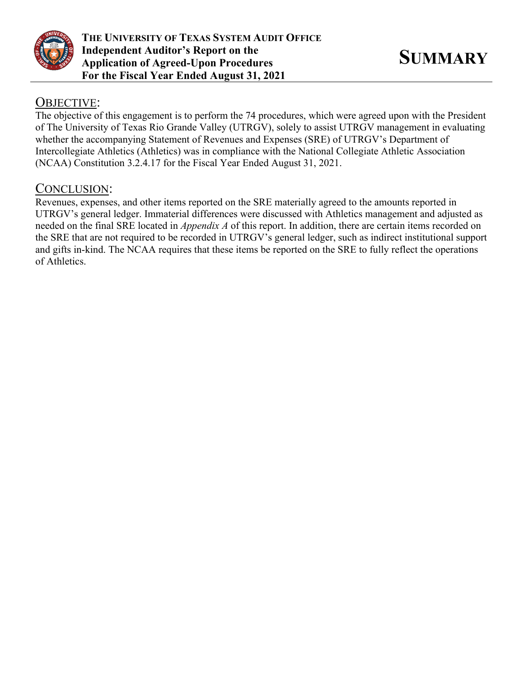

## OBJECTIVE:

The objective of this engagement is to perform the 74 procedures, which were agreed upon with the President of The University of Texas Rio Grande Valley (UTRGV), solely to assist UTRGV management in evaluating whether the accompanying Statement of Revenues and Expenses (SRE) of UTRGV's Department of Intercollegiate Athletics (Athletics) was in compliance with the National Collegiate Athletic Association (NCAA) Constitution 3.2.4.17 for the Fiscal Year Ended August 31, 2021.

## CONCLUSION:

Revenues, expenses, and other items reported on the SRE materially agreed to the amounts reported in UTRGV's general ledger. Immaterial differences were discussed with Athletics management and adjusted as needed on the final SRE located in *Appendix A* of this report. In addition, there are certain items recorded on the SRE that are not required to be recorded in UTRGV's general ledger, such as indirect institutional support and gifts in-kind. The NCAA requires that these items be reported on the SRE to fully reflect the operations of Athletics.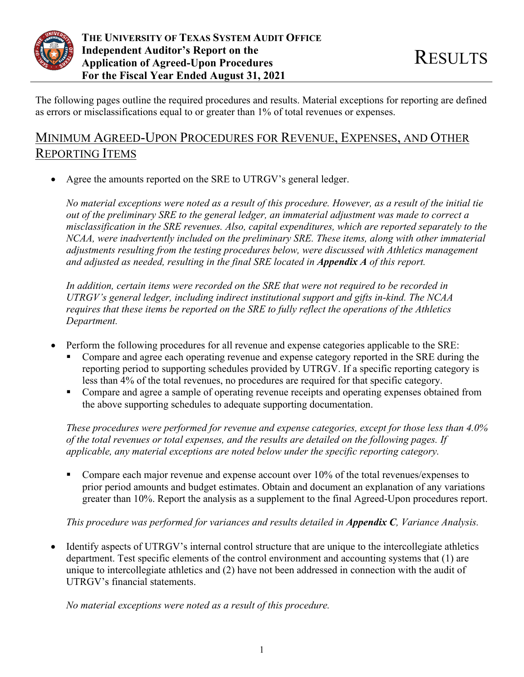

The following pages outline the required procedures and results. Material exceptions for reporting are defined as errors or misclassifications equal to or greater than 1% of total revenues or expenses.

# MINIMUM AGREED-UPON PROCEDURES FOR REVENUE, EXPENSES, AND OTHER REPORTING ITEMS

Agree the amounts reported on the SRE to UTRGV's general ledger.

*No material exceptions were noted as a result of this procedure. However, as a result of the initial tie out of the preliminary SRE to the general ledger, an immaterial adjustment was made to correct a misclassification in the SRE revenues. Also, capital expenditures, which are reported separately to the NCAA, were inadvertently included on the preliminary SRE. These items, along with other immaterial adjustments resulting from the testing procedures below, were discussed with Athletics management and adjusted as needed, resulting in the final SRE located in Appendix A of this report.* 

*In addition, certain items were recorded on the SRE that were not required to be recorded in UTRGV's general ledger, including indirect institutional support and gifts in-kind. The NCAA requires that these items be reported on the SRE to fully reflect the operations of the Athletics Department.* 

- Perform the following procedures for all revenue and expense categories applicable to the SRE:
	- Compare and agree each operating revenue and expense category reported in the SRE during the reporting period to supporting schedules provided by UTRGV. If a specific reporting category is less than 4% of the total revenues, no procedures are required for that specific category.
	- **Compare and agree a sample of operating revenue receipts and operating expenses obtained from** the above supporting schedules to adequate supporting documentation.

*These procedures were performed for revenue and expense categories, except for those less than 4.0% of the total revenues or total expenses, and the results are detailed on the following pages. If applicable, any material exceptions are noted below under the specific reporting category.* 

Compare each major revenue and expense account over  $10\%$  of the total revenues/expenses to prior period amounts and budget estimates. Obtain and document an explanation of any variations greater than 10%. Report the analysis as a supplement to the final Agreed-Upon procedures report.

*This procedure was performed for variances and results detailed in Appendix C, Variance Analysis.* 

• Identify aspects of UTRGV's internal control structure that are unique to the intercollegiate athletics department. Test specific elements of the control environment and accounting systems that (1) are unique to intercollegiate athletics and (2) have not been addressed in connection with the audit of UTRGV's financial statements.

*No material exceptions were noted as a result of this procedure.*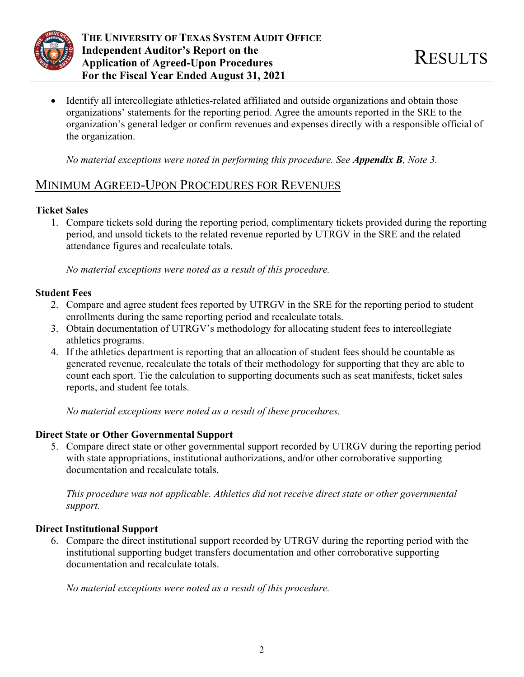

 Identify all intercollegiate athletics-related affiliated and outside organizations and obtain those organizations' statements for the reporting period. Agree the amounts reported in the SRE to the organization's general ledger or confirm revenues and expenses directly with a responsible official of the organization.

*No material exceptions were noted in performing this procedure. See Appendix B, Note 3.* 

# MINIMUM AGREED-UPON PROCEDURES FOR REVENUES

## **Ticket Sales**

1. Compare tickets sold during the reporting period, complimentary tickets provided during the reporting period, and unsold tickets to the related revenue reported by UTRGV in the SRE and the related attendance figures and recalculate totals.

*No material exceptions were noted as a result of this procedure.* 

## **Student Fees**

- 2. Compare and agree student fees reported by UTRGV in the SRE for the reporting period to student enrollments during the same reporting period and recalculate totals.
- 3. Obtain documentation of UTRGV's methodology for allocating student fees to intercollegiate athletics programs.
- 4. If the athletics department is reporting that an allocation of student fees should be countable as generated revenue, recalculate the totals of their methodology for supporting that they are able to count each sport. Tie the calculation to supporting documents such as seat manifests, ticket sales reports, and student fee totals.

*No material exceptions were noted as a result of these procedures.* 

## **Direct State or Other Governmental Support**

5. Compare direct state or other governmental support recorded by UTRGV during the reporting period with state appropriations, institutional authorizations, and/or other corroborative supporting documentation and recalculate totals.

*This procedure was not applicable. Athletics did not receive direct state or other governmental support.* 

## **Direct Institutional Support**

6. Compare the direct institutional support recorded by UTRGV during the reporting period with the institutional supporting budget transfers documentation and other corroborative supporting documentation and recalculate totals.

*No material exceptions were noted as a result of this procedure.*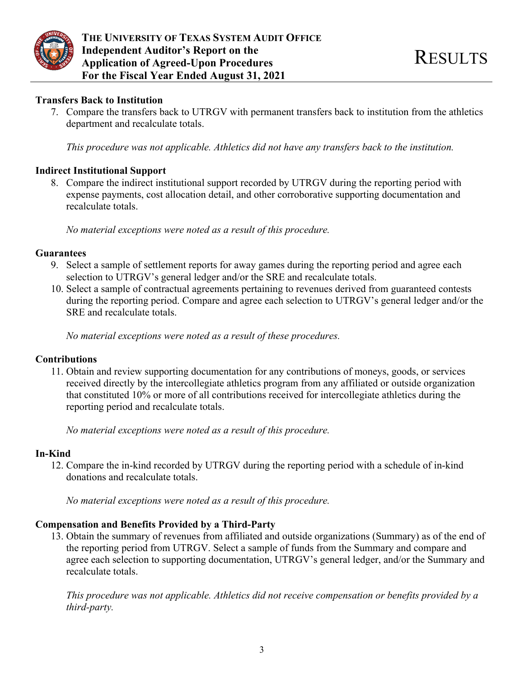

#### **Transfers Back to Institution**

7. Compare the transfers back to UTRGV with permanent transfers back to institution from the athletics department and recalculate totals.

*This procedure was not applicable. Athletics did not have any transfers back to the institution.* 

### **Indirect Institutional Support**

8. Compare the indirect institutional support recorded by UTRGV during the reporting period with expense payments, cost allocation detail, and other corroborative supporting documentation and recalculate totals.

*No material exceptions were noted as a result of this procedure.* 

#### **Guarantees**

- 9. Select a sample of settlement reports for away games during the reporting period and agree each selection to UTRGV's general ledger and/or the SRE and recalculate totals.
- 10. Select a sample of contractual agreements pertaining to revenues derived from guaranteed contests during the reporting period. Compare and agree each selection to UTRGV's general ledger and/or the SRE and recalculate totals.

*No material exceptions were noted as a result of these procedures.* 

#### **Contributions**

11. Obtain and review supporting documentation for any contributions of moneys, goods, or services received directly by the intercollegiate athletics program from any affiliated or outside organization that constituted 10% or more of all contributions received for intercollegiate athletics during the reporting period and recalculate totals.

*No material exceptions were noted as a result of this procedure.* 

#### **In-Kind**

12. Compare the in-kind recorded by UTRGV during the reporting period with a schedule of in-kind donations and recalculate totals.

*No material exceptions were noted as a result of this procedure.* 

## **Compensation and Benefits Provided by a Third-Party**

13. Obtain the summary of revenues from affiliated and outside organizations (Summary) as of the end of the reporting period from UTRGV. Select a sample of funds from the Summary and compare and agree each selection to supporting documentation, UTRGV's general ledger, and/or the Summary and recalculate totals.

*This procedure was not applicable. Athletics did not receive compensation or benefits provided by a third-party.*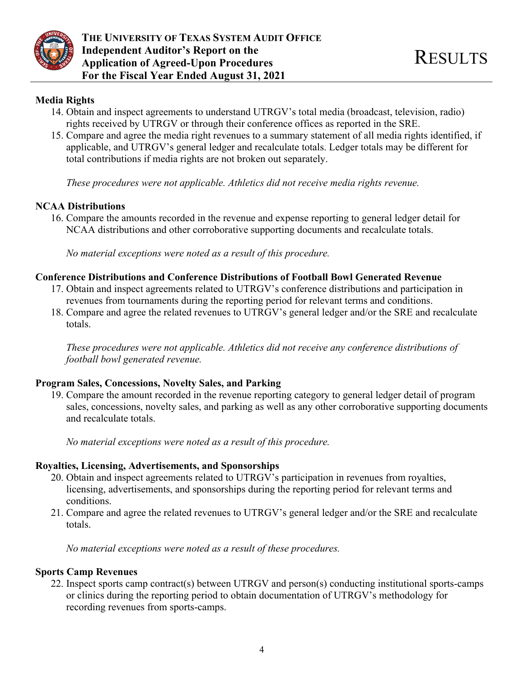

## **Media Rights**

- 14. Obtain and inspect agreements to understand UTRGV's total media (broadcast, television, radio) rights received by UTRGV or through their conference offices as reported in the SRE.
- 15. Compare and agree the media right revenues to a summary statement of all media rights identified, if applicable, and UTRGV's general ledger and recalculate totals. Ledger totals may be different for total contributions if media rights are not broken out separately.

*These procedures were not applicable. Athletics did not receive media rights revenue.* 

## **NCAA Distributions**

16. Compare the amounts recorded in the revenue and expense reporting to general ledger detail for NCAA distributions and other corroborative supporting documents and recalculate totals.

*No material exceptions were noted as a result of this procedure.* 

## **Conference Distributions and Conference Distributions of Football Bowl Generated Revenue**

- 17. Obtain and inspect agreements related to UTRGV's conference distributions and participation in revenues from tournaments during the reporting period for relevant terms and conditions.
- 18. Compare and agree the related revenues to UTRGV's general ledger and/or the SRE and recalculate totals.

*These procedures were not applicable. Athletics did not receive any conference distributions of football bowl generated revenue.* 

## **Program Sales, Concessions, Novelty Sales, and Parking**

19. Compare the amount recorded in the revenue reporting category to general ledger detail of program sales, concessions, novelty sales, and parking as well as any other corroborative supporting documents and recalculate totals.

*No material exceptions were noted as a result of this procedure.* 

## **Royalties, Licensing, Advertisements, and Sponsorships**

- 20. Obtain and inspect agreements related to UTRGV's participation in revenues from royalties, licensing, advertisements, and sponsorships during the reporting period for relevant terms and conditions.
- 21. Compare and agree the related revenues to UTRGV's general ledger and/or the SRE and recalculate totals.

*No material exceptions were noted as a result of these procedures.* 

## **Sports Camp Revenues**

22. Inspect sports camp contract(s) between UTRGV and person(s) conducting institutional sports-camps or clinics during the reporting period to obtain documentation of UTRGV's methodology for recording revenues from sports-camps.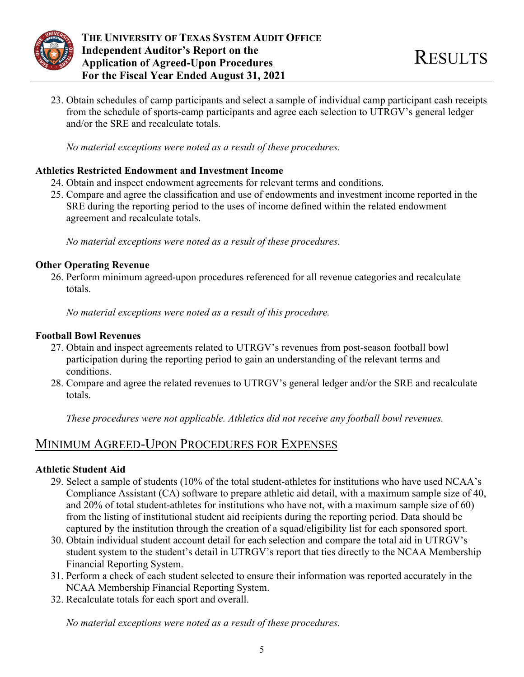

23. Obtain schedules of camp participants and select a sample of individual camp participant cash receipts from the schedule of sports-camp participants and agree each selection to UTRGV's general ledger and/or the SRE and recalculate totals.

*No material exceptions were noted as a result of these procedures.* 

## **Athletics Restricted Endowment and Investment Income**

- 24. Obtain and inspect endowment agreements for relevant terms and conditions.
- 25. Compare and agree the classification and use of endowments and investment income reported in the SRE during the reporting period to the uses of income defined within the related endowment agreement and recalculate totals.

*No material exceptions were noted as a result of these procedures.* 

## **Other Operating Revenue**

26. Perform minimum agreed-upon procedures referenced for all revenue categories and recalculate totals.

*No material exceptions were noted as a result of this procedure.* 

## **Football Bowl Revenues**

- 27. Obtain and inspect agreements related to UTRGV's revenues from post-season football bowl participation during the reporting period to gain an understanding of the relevant terms and conditions.
- 28. Compare and agree the related revenues to UTRGV's general ledger and/or the SRE and recalculate totals.

*These procedures were not applicable. Athletics did not receive any football bowl revenues.* 

## MINIMUM AGREED-UPON PROCEDURES FOR EXPENSES

## **Athletic Student Aid**

- 29. Select a sample of students (10% of the total student-athletes for institutions who have used NCAA's Compliance Assistant (CA) software to prepare athletic aid detail, with a maximum sample size of 40, and 20% of total student-athletes for institutions who have not, with a maximum sample size of 60) from the listing of institutional student aid recipients during the reporting period. Data should be captured by the institution through the creation of a squad/eligibility list for each sponsored sport.
- 30. Obtain individual student account detail for each selection and compare the total aid in UTRGV's student system to the student's detail in UTRGV's report that ties directly to the NCAA Membership Financial Reporting System.
- 31. Perform a check of each student selected to ensure their information was reported accurately in the NCAA Membership Financial Reporting System.
- 32. Recalculate totals for each sport and overall.

*No material exceptions were noted as a result of these procedures.*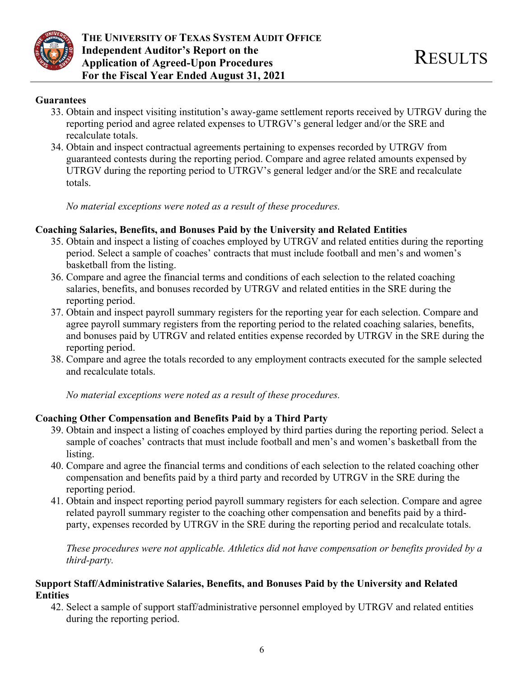

#### **Guarantees**

- 33. Obtain and inspect visiting institution's away-game settlement reports received by UTRGV during the reporting period and agree related expenses to UTRGV's general ledger and/or the SRE and recalculate totals.
- 34. Obtain and inspect contractual agreements pertaining to expenses recorded by UTRGV from guaranteed contests during the reporting period. Compare and agree related amounts expensed by UTRGV during the reporting period to UTRGV's general ledger and/or the SRE and recalculate totals.

*No material exceptions were noted as a result of these procedures.* 

### **Coaching Salaries, Benefits, and Bonuses Paid by the University and Related Entities**

- 35. Obtain and inspect a listing of coaches employed by UTRGV and related entities during the reporting period. Select a sample of coaches' contracts that must include football and men's and women's basketball from the listing.
- 36. Compare and agree the financial terms and conditions of each selection to the related coaching salaries, benefits, and bonuses recorded by UTRGV and related entities in the SRE during the reporting period.
- 37. Obtain and inspect payroll summary registers for the reporting year for each selection. Compare and agree payroll summary registers from the reporting period to the related coaching salaries, benefits, and bonuses paid by UTRGV and related entities expense recorded by UTRGV in the SRE during the reporting period.
- 38. Compare and agree the totals recorded to any employment contracts executed for the sample selected and recalculate totals.

*No material exceptions were noted as a result of these procedures.* 

#### **Coaching Other Compensation and Benefits Paid by a Third Party**

- 39. Obtain and inspect a listing of coaches employed by third parties during the reporting period. Select a sample of coaches' contracts that must include football and men's and women's basketball from the listing.
- 40. Compare and agree the financial terms and conditions of each selection to the related coaching other compensation and benefits paid by a third party and recorded by UTRGV in the SRE during the reporting period.
- 41. Obtain and inspect reporting period payroll summary registers for each selection. Compare and agree related payroll summary register to the coaching other compensation and benefits paid by a thirdparty, expenses recorded by UTRGV in the SRE during the reporting period and recalculate totals.

*These procedures were not applicable. Athletics did not have compensation or benefits provided by a third-party.* 

#### **Support Staff/Administrative Salaries, Benefits, and Bonuses Paid by the University and Related Entities**

42. Select a sample of support staff/administrative personnel employed by UTRGV and related entities during the reporting period.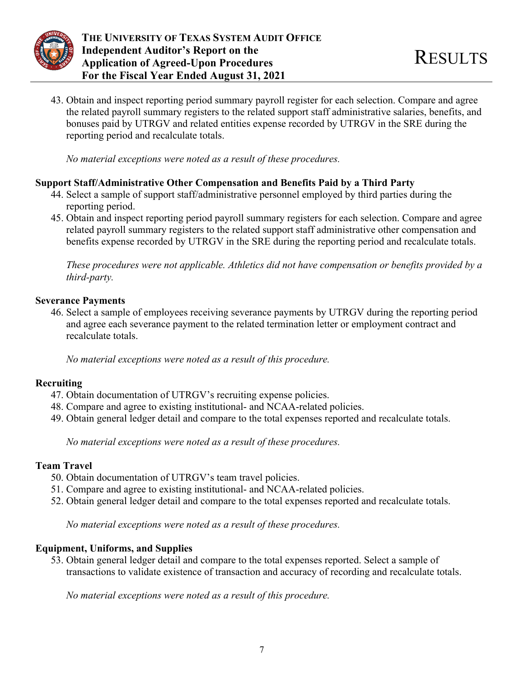

43. Obtain and inspect reporting period summary payroll register for each selection. Compare and agree the related payroll summary registers to the related support staff administrative salaries, benefits, and bonuses paid by UTRGV and related entities expense recorded by UTRGV in the SRE during the reporting period and recalculate totals.

*No material exceptions were noted as a result of these procedures.* 

### **Support Staff/Administrative Other Compensation and Benefits Paid by a Third Party**

- 44. Select a sample of support staff/administrative personnel employed by third parties during the reporting period.
- 45. Obtain and inspect reporting period payroll summary registers for each selection. Compare and agree related payroll summary registers to the related support staff administrative other compensation and benefits expense recorded by UTRGV in the SRE during the reporting period and recalculate totals.

*These procedures were not applicable. Athletics did not have compensation or benefits provided by a third-party.* 

#### **Severance Payments**

46. Select a sample of employees receiving severance payments by UTRGV during the reporting period and agree each severance payment to the related termination letter or employment contract and recalculate totals.

*No material exceptions were noted as a result of this procedure.* 

## **Recruiting**

- 47. Obtain documentation of UTRGV's recruiting expense policies.
- 48. Compare and agree to existing institutional- and NCAA-related policies.
- 49. Obtain general ledger detail and compare to the total expenses reported and recalculate totals.

*No material exceptions were noted as a result of these procedures.* 

## **Team Travel**

- 50. Obtain documentation of UTRGV's team travel policies.
- 51. Compare and agree to existing institutional- and NCAA-related policies.
- 52. Obtain general ledger detail and compare to the total expenses reported and recalculate totals.

*No material exceptions were noted as a result of these procedures.* 

## **Equipment, Uniforms, and Supplies**

53. Obtain general ledger detail and compare to the total expenses reported. Select a sample of transactions to validate existence of transaction and accuracy of recording and recalculate totals.

*No material exceptions were noted as a result of this procedure.*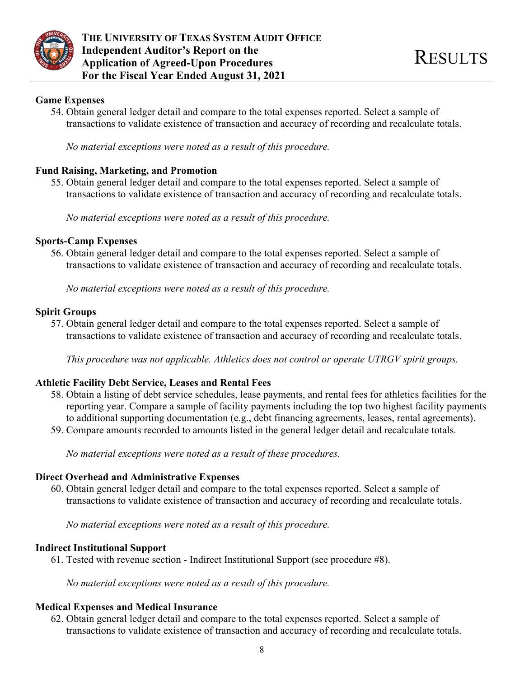

#### **Game Expenses**

54. Obtain general ledger detail and compare to the total expenses reported. Select a sample of transactions to validate existence of transaction and accuracy of recording and recalculate totals.

*No material exceptions were noted as a result of this procedure.* 

## **Fund Raising, Marketing, and Promotion**

55. Obtain general ledger detail and compare to the total expenses reported. Select a sample of transactions to validate existence of transaction and accuracy of recording and recalculate totals.

*No material exceptions were noted as a result of this procedure.* 

#### **Sports-Camp Expenses**

56. Obtain general ledger detail and compare to the total expenses reported. Select a sample of transactions to validate existence of transaction and accuracy of recording and recalculate totals.

*No material exceptions were noted as a result of this procedure.* 

#### **Spirit Groups**

57. Obtain general ledger detail and compare to the total expenses reported. Select a sample of transactions to validate existence of transaction and accuracy of recording and recalculate totals.

*This procedure was not applicable. Athletics does not control or operate UTRGV spirit groups.* 

#### **Athletic Facility Debt Service, Leases and Rental Fees**

- 58. Obtain a listing of debt service schedules, lease payments, and rental fees for athletics facilities for the reporting year. Compare a sample of facility payments including the top two highest facility payments to additional supporting documentation (e.g., debt financing agreements, leases, rental agreements).
- 59. Compare amounts recorded to amounts listed in the general ledger detail and recalculate totals.

*No material exceptions were noted as a result of these procedures.* 

#### **Direct Overhead and Administrative Expenses**

60. Obtain general ledger detail and compare to the total expenses reported. Select a sample of transactions to validate existence of transaction and accuracy of recording and recalculate totals.

*No material exceptions were noted as a result of this procedure.* 

#### **Indirect Institutional Support**

61. Tested with revenue section - Indirect Institutional Support (see procedure #8).

*No material exceptions were noted as a result of this procedure.* 

#### **Medical Expenses and Medical Insurance**

62. Obtain general ledger detail and compare to the total expenses reported. Select a sample of transactions to validate existence of transaction and accuracy of recording and recalculate totals.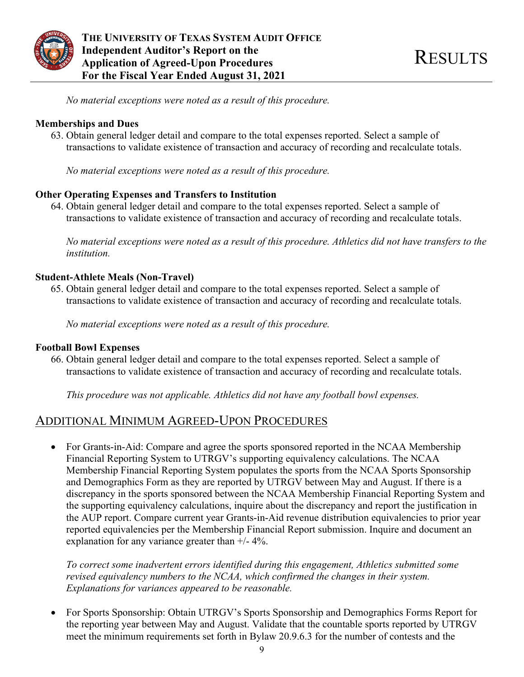

*No material exceptions were noted as a result of this procedure.* 

#### **Memberships and Dues**

63. Obtain general ledger detail and compare to the total expenses reported. Select a sample of transactions to validate existence of transaction and accuracy of recording and recalculate totals.

*No material exceptions were noted as a result of this procedure.* 

### **Other Operating Expenses and Transfers to Institution**

64. Obtain general ledger detail and compare to the total expenses reported. Select a sample of transactions to validate existence of transaction and accuracy of recording and recalculate totals.

*No material exceptions were noted as a result of this procedure. Athletics did not have transfers to the institution.* 

## **Student-Athlete Meals (Non-Travel)**

65. Obtain general ledger detail and compare to the total expenses reported. Select a sample of transactions to validate existence of transaction and accuracy of recording and recalculate totals.

*No material exceptions were noted as a result of this procedure.* 

#### **Football Bowl Expenses**

66. Obtain general ledger detail and compare to the total expenses reported. Select a sample of transactions to validate existence of transaction and accuracy of recording and recalculate totals.

*This procedure was not applicable. Athletics did not have any football bowl expenses.* 

## ADDITIONAL MINIMUM AGREED-UPON PROCEDURES

• For Grants-in-Aid: Compare and agree the sports sponsored reported in the NCAA Membership Financial Reporting System to UTRGV's supporting equivalency calculations. The NCAA Membership Financial Reporting System populates the sports from the NCAA Sports Sponsorship and Demographics Form as they are reported by UTRGV between May and August. If there is a discrepancy in the sports sponsored between the NCAA Membership Financial Reporting System and the supporting equivalency calculations, inquire about the discrepancy and report the justification in the AUP report. Compare current year Grants-in-Aid revenue distribution equivalencies to prior year reported equivalencies per the Membership Financial Report submission. Inquire and document an explanation for any variance greater than  $+/- 4\%$ .

*To correct some inadvertent errors identified during this engagement, Athletics submitted some revised equivalency numbers to the NCAA, which confirmed the changes in their system. Explanations for variances appeared to be reasonable.* 

 For Sports Sponsorship: Obtain UTRGV's Sports Sponsorship and Demographics Forms Report for the reporting year between May and August. Validate that the countable sports reported by UTRGV meet the minimum requirements set forth in Bylaw 20.9.6.3 for the number of contests and the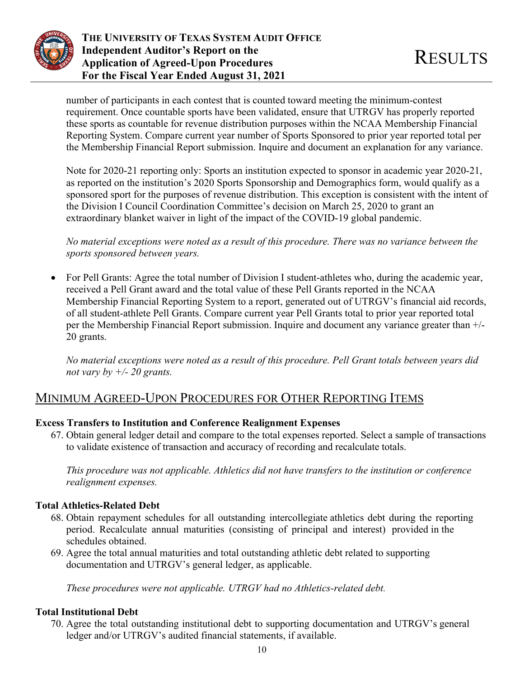

number of participants in each contest that is counted toward meeting the minimum-contest requirement. Once countable sports have been validated, ensure that UTRGV has properly reported these sports as countable for revenue distribution purposes within the NCAA Membership Financial Reporting System. Compare current year number of Sports Sponsored to prior year reported total per the Membership Financial Report submission. Inquire and document an explanation for any variance.

Note for 2020-21 reporting only: Sports an institution expected to sponsor in academic year 2020-21, as reported on the institution's 2020 Sports Sponsorship and Demographics form, would qualify as a sponsored sport for the purposes of revenue distribution. This exception is consistent with the intent of the Division I Council Coordination Committee's decision on March 25, 2020 to grant an extraordinary blanket waiver in light of the impact of the COVID-19 global pandemic.

*No material exceptions were noted as a result of this procedure. There was no variance between the sports sponsored between years.* 

 For Pell Grants: Agree the total number of Division I student-athletes who, during the academic year, received a Pell Grant award and the total value of these Pell Grants reported in the NCAA Membership Financial Reporting System to a report, generated out of UTRGV's financial aid records, of all student-athlete Pell Grants. Compare current year Pell Grants total to prior year reported total per the Membership Financial Report submission. Inquire and document any variance greater than +/- 20 grants.

*No material exceptions were noted as a result of this procedure. Pell Grant totals between years did not vary by +/- 20 grants.* 

# MINIMUM AGREED-UPON PROCEDURES FOR OTHER REPORTING ITEMS

## **Excess Transfers to Institution and Conference Realignment Expenses**

67. Obtain general ledger detail and compare to the total expenses reported. Select a sample of transactions to validate existence of transaction and accuracy of recording and recalculate totals.

*This procedure was not applicable. Athletics did not have transfers to the institution or conference realignment expenses.* 

## **Total Athletics-Related Debt**

- 68. Obtain repayment schedules for all outstanding intercollegiate athletics debt during the reporting period. Recalculate annual maturities (consisting of principal and interest) provided in the schedules obtained.
- 69. Agree the total annual maturities and total outstanding athletic debt related to supporting documentation and UTRGV's general ledger, as applicable.

*These procedures were not applicable. UTRGV had no Athletics-related debt.* 

## **Total Institutional Debt**

70. Agree the total outstanding institutional debt to supporting documentation and UTRGV's general ledger and/or UTRGV's audited financial statements, if available.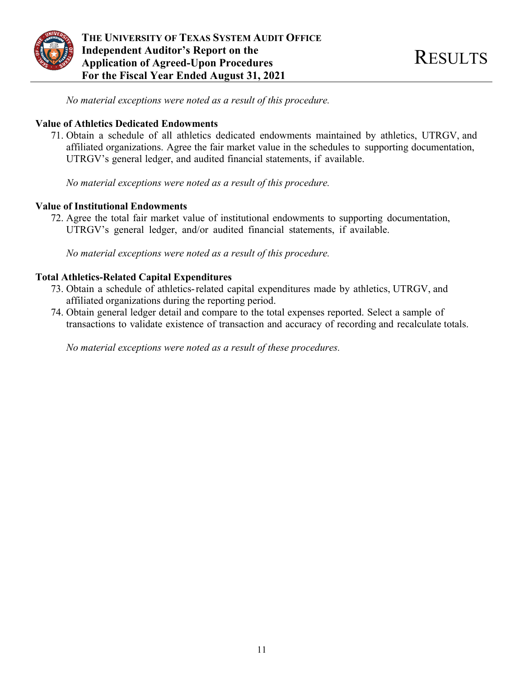

**THE UNIVERSITY OF TEXAS SYSTEM AUDIT OFFICE Independent Auditor's Report on the The Independent Auditor's Report on the set of the RESULTS**<br>Application of Agreed-Upon Procedures **For the Fiscal Year Ended August 31, 2021** 

*No material exceptions were noted as a result of this procedure.* 

#### **Value of Athletics Dedicated Endowments**

71. Obtain a schedule of all athletics dedicated endowments maintained by athletics, UTRGV, and affiliated organizations. Agree the fair market value in the schedules to supporting documentation, UTRGV's general ledger, and audited financial statements, if available.

*No material exceptions were noted as a result of this procedure.* 

#### **Value of Institutional Endowments**

72. Agree the total fair market value of institutional endowments to supporting documentation, UTRGV's general ledger, and/or audited financial statements, if available.

*No material exceptions were noted as a result of this procedure.* 

### **Total Athletics-Related Capital Expenditures**

- 73. Obtain a schedule of athletics- related capital expenditures made by athletics, UTRGV, and affiliated organizations during the reporting period.
- 74. Obtain general ledger detail and compare to the total expenses reported. Select a sample of transactions to validate existence of transaction and accuracy of recording and recalculate totals.

*No material exceptions were noted as a result of these procedures.*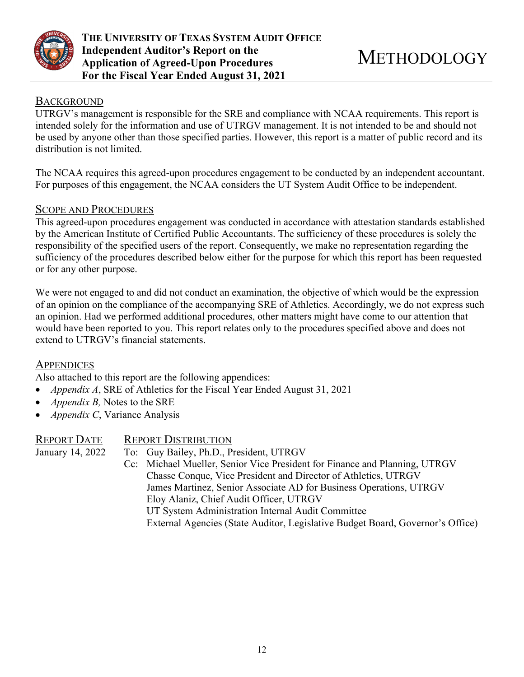

### **BACKGROUND**

UTRGV's management is responsible for the SRE and compliance with NCAA requirements. This report is intended solely for the information and use of UTRGV management. It is not intended to be and should not be used by anyone other than those specified parties. However, this report is a matter of public record and its distribution is not limited.

The NCAA requires this agreed-upon procedures engagement to be conducted by an independent accountant. For purposes of this engagement, the NCAA considers the UT System Audit Office to be independent.

## SCOPE AND PROCEDURES

This agreed-upon procedures engagement was conducted in accordance with attestation standards established by the American Institute of Certified Public Accountants. The sufficiency of these procedures is solely the responsibility of the specified users of the report. Consequently, we make no representation regarding the sufficiency of the procedures described below either for the purpose for which this report has been requested or for any other purpose.

We were not engaged to and did not conduct an examination, the objective of which would be the expression of an opinion on the compliance of the accompanying SRE of Athletics. Accordingly, we do not express such an opinion. Had we performed additional procedures, other matters might have come to our attention that would have been reported to you. This report relates only to the procedures specified above and does not extend to UTRGV's financial statements.

## **APPENDICES**

Also attached to this report are the following appendices:

- *Appendix A*, SRE of Athletics for the Fiscal Year Ended August 31, 2021
- *Appendix B,* Notes to the SRE
- *Appendix C*, Variance Analysis

| REPORT DATE      | <b>REPORT DISTRIBUTION</b>                                                     |
|------------------|--------------------------------------------------------------------------------|
| January 14, 2022 | To: Guy Bailey, Ph.D., President, UTRGV                                        |
|                  | Cc: Michael Mueller, Senior Vice President for Finance and Planning, UTRGV     |
|                  | Chasse Conque, Vice President and Director of Athletics, UTRGV                 |
|                  | James Martinez, Senior Associate AD for Business Operations, UTRGV             |
|                  | Eloy Alaniz, Chief Audit Officer, UTRGV                                        |
|                  | UT System Administration Internal Audit Committee                              |
|                  | External Agencies (State Auditor, Legislative Budget Board, Governor's Office) |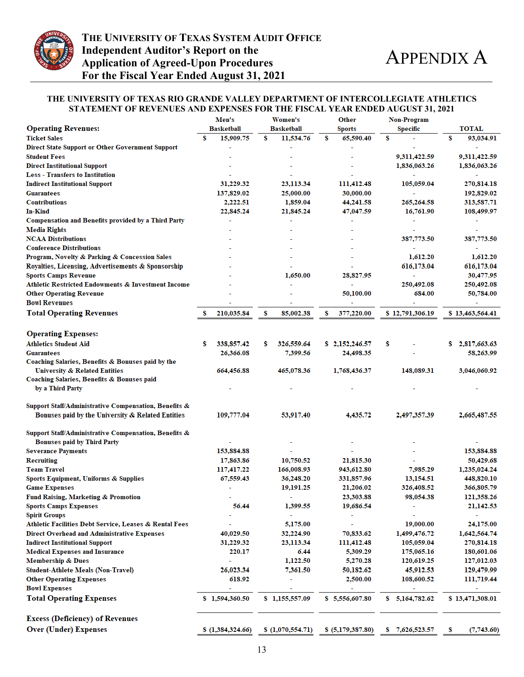

#### **STATEMENT OF REVENUES AND EXPENSES FOR THE FISCAL YEAR ENDED AUGUST 31, 2021 THE UNIVERSITY OF TEXAS RIO GRANDE VALLEY DEPARTMENT OF INTERCOLLEGIATE ATHLETICS**

|                                                         |   | Men's             |   | Women's           |   | <b>Other</b>      |    | Non-Program     |   |                 |  |
|---------------------------------------------------------|---|-------------------|---|-------------------|---|-------------------|----|-----------------|---|-----------------|--|
| <b>Operating Revenues:</b>                              |   | <b>Basketball</b> |   | <b>Basketball</b> |   | Sports            |    | <b>Specific</b> |   | <b>TOTAL</b>    |  |
| <b>Ticket Sales</b>                                     | s | 15,909.75         | s | 11,534.76         | s | 65,590.40         | S  |                 | S | 93,034.91       |  |
| <b>Direct State Support or Other Government Support</b> |   |                   |   |                   |   |                   |    |                 |   |                 |  |
| <b>Student Fees</b>                                     |   |                   |   |                   |   |                   |    | 9,311,422.59    |   | 9,311,422.59    |  |
| <b>Direct Institutional Support</b>                     |   |                   |   |                   |   |                   |    | 1,836,063.26    |   | 1,836,063.26    |  |
| <b>Less - Transfers to Institution</b>                  |   |                   |   |                   |   |                   |    |                 |   |                 |  |
| <b>Indirect Institutional Support</b>                   |   | 31,229.32         |   | 23,113.34         |   | 111,412.48        |    | 105,059.04      |   | 270,814.18      |  |
| <b>Guarantees</b>                                       |   | 137,829.02        |   | 25,000.00         |   | 30,000.00         |    |                 |   | 192,829.02      |  |
| <b>Contributions</b>                                    |   | 2,222.51          |   | 1,859.04          |   | 44,241.58         |    | 265,264.58      |   | 313,587.71      |  |
| <b>In-Kind</b>                                          |   | 22,845.24         |   | 21,845.24         |   | 47,047.59         |    | 16,761.90       |   | 108,499.97      |  |
| Compensation and Benefits provided by a Third Party     |   |                   |   |                   |   |                   |    |                 |   |                 |  |
| <b>Media Rights</b>                                     |   |                   |   |                   |   |                   |    |                 |   |                 |  |
| <b>NCAA Distributions</b>                               |   |                   |   |                   |   |                   |    | 387,773.50      |   | 387,773.50      |  |
| <b>Conference Distributions</b>                         |   |                   |   |                   |   |                   |    |                 |   |                 |  |
| Program, Novelty & Parking & Concession Sales           |   |                   |   |                   |   |                   |    | 1,612.20        |   | 1,612.20        |  |
| Royalties, Licensing, Advertisements & Sponsorship      |   |                   |   |                   |   |                   |    | 616,173.04      |   | 616,173.04      |  |
| <b>Sports Camps Revenue</b>                             |   |                   |   | 1,650.00          |   | 28,827.95         |    |                 |   | 30,477.95       |  |
| Athletic Restricted Endowments & Investment Income      |   |                   |   |                   |   |                   |    | 250,492.08      |   | 250,492.08      |  |
| <b>Other Operating Revenue</b>                          |   |                   |   |                   |   | 50,100.00         |    | 684.00          |   | 50,784.00       |  |
| <b>Bowl Revenues</b>                                    |   |                   |   |                   |   |                   |    |                 |   |                 |  |
| <b>Total Operating Revenues</b>                         | s | 210,035.84        | s | 85,002.38         | s |                   |    | \$12,791,306.19 |   | \$13,463,564.41 |  |
|                                                         |   |                   |   |                   |   | 377,220.00        |    |                 |   |                 |  |
|                                                         |   |                   |   |                   |   |                   |    |                 |   |                 |  |
| <b>Operating Expenses:</b>                              |   |                   |   |                   |   |                   |    |                 |   |                 |  |
| <b>Athletics Student Aid</b>                            | s | 338, 857. 42      | s | 326,559.64        |   | \$2,152,246.57    | s  |                 | s | 2,817,663.63    |  |
| <b>Guarantees</b>                                       |   | 26,366.08         |   | 7,399.56          |   | 24,498.35         |    |                 |   | 58,263.99       |  |
| Coaching Salaries, Benefits & Bonuses paid by the       |   |                   |   |                   |   |                   |    |                 |   |                 |  |
| <b>University &amp; Related Entities</b>                |   | 664,456.88        |   | 465,078.36        |   | 1,768,436.37      |    | 148,089.31      |   | 3,046,060.92    |  |
| Coaching Salaries, Benefits & Bonuses paid              |   |                   |   |                   |   |                   |    |                 |   |                 |  |
| by a Third Party                                        |   |                   |   |                   |   |                   |    |                 |   |                 |  |
|                                                         |   |                   |   |                   |   |                   |    |                 |   |                 |  |
| Support Staff/Administrative Compensation, Benefits &   |   |                   |   |                   |   |                   |    |                 |   |                 |  |
| Bonuses paid by the University & Related Entities       |   | 109,777.04        |   | 53,917.40         |   | 4,435.72          |    | 2,497,357.39    |   | 2,665,487.55    |  |
|                                                         |   |                   |   |                   |   |                   |    |                 |   |                 |  |
| Support Staff/Administrative Compensation, Benefits &   |   |                   |   |                   |   |                   |    |                 |   |                 |  |
| <b>Bonuses paid by Third Party</b>                      |   |                   |   |                   |   |                   |    |                 |   |                 |  |
| <b>Severance Payments</b>                               |   | 153,884.88        |   |                   |   |                   |    |                 |   | 153,884.88      |  |
| <b>Recruiting</b>                                       |   | 17,863.86         |   | 10,750.52         |   | 21,815.30         |    |                 |   | 50,429.68       |  |
| <b>Team Travel</b>                                      |   | 117,417.22        |   | 166,008.93        |   | 943,612.80        |    | 7,985.29        |   | 1,235,024.24    |  |
| <b>Sports Equipment, Uniforms &amp; Supplies</b>        |   | 67,559.43         |   | 36,248.20         |   | 331,857.96        |    | 13,154.51       |   | 448,820.10      |  |
| <b>Game Expenses</b>                                    |   |                   |   | 19,191.25         |   | 21,206.02         |    | 326,408.52      |   | 366,805.79      |  |
| Fund Raising, Marketing & Promotion                     |   |                   |   |                   |   | 23,303.88         |    | 98,054.38       |   | 121,358.26      |  |
| <b>Sports Camps Expenses</b>                            |   | 56.44             |   | 1,399.55          |   | 19,686.54         |    |                 |   | 21,142.53       |  |
| <b>Spirit Groups</b>                                    |   |                   |   |                   |   |                   |    |                 |   |                 |  |
| Athletic Facilities Debt Service, Leases & Rental Fees  |   |                   |   | 5,175.00          |   |                   |    | 19,000.00       |   | 24,175.00       |  |
| <b>Direct Overhead and Administrative Expenses</b>      |   | 40,029.50         |   | 32,224.90         |   | 70,833.62         |    | 1,499,476.72    |   | 1,642,564.74    |  |
| <b>Indirect Institutional Support</b>                   |   | 31,229.32         |   | 23,113.34         |   | 111,412.48        |    | 105,059.04      |   | 270,814.18      |  |
| <b>Medical Expenses and Insurance</b>                   |   | 220.17            |   | 6.44              |   | 5,309.29          |    | 175,065.16      |   | 180,601.06      |  |
| <b>Membership &amp; Dues</b>                            |   |                   |   | 1,122.50          |   | 5,270.28          |    | 120,619.25      |   | 127,012.03      |  |
| <b>Student-Athlete Meals (Non-Travel)</b>               |   | 26,023.34         |   | 7,361.50          |   | 50,182.62         |    | 45,912.53       |   | 129,479.99      |  |
| <b>Other Operating Expenses</b>                         |   | 618.92            |   |                   |   | 2,500.00          |    | 108,600.52      |   | 111,719.44      |  |
| <b>Bowl Expenses</b>                                    |   |                   |   |                   |   |                   |    |                 |   | ÷,              |  |
| <b>Total Operating Expenses</b>                         |   | \$1,594,360.50    |   | \$1,155,557.09    |   | \$5,556,607.80    | s. | 5,164,782.62    |   | \$13,471,308.01 |  |
|                                                         |   |                   |   |                   |   |                   |    |                 |   |                 |  |
|                                                         |   |                   |   |                   |   |                   |    |                 |   |                 |  |
| <b>Excess (Deficiency) of Revenues</b>                  |   |                   |   |                   |   |                   |    |                 |   |                 |  |
| <b>Over (Under) Expenses</b>                            |   | \$(1,384,324.66)  |   | \$(1,070,554.71)  |   | \$ (5,179,387.80) | s  | 7,626,523.57    | s | (7,743.60)      |  |
|                                                         |   |                   |   |                   |   |                   |    |                 |   |                 |  |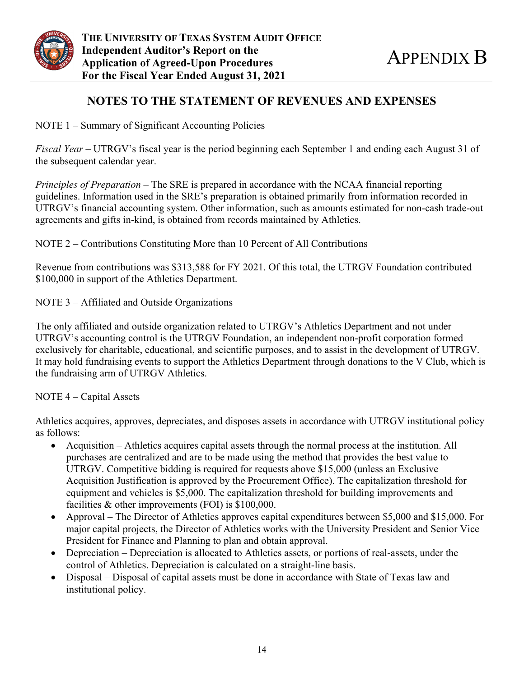

## **NOTES TO THE STATEMENT OF REVENUES AND EXPENSES**

NOTE 1 – Summary of Significant Accounting Policies

*Fiscal Year* – UTRGV's fiscal year is the period beginning each September 1 and ending each August 31 of the subsequent calendar year.

*Principles of Preparation* – The SRE is prepared in accordance with the NCAA financial reporting guidelines. Information used in the SRE's preparation is obtained primarily from information recorded in UTRGV's financial accounting system. Other information, such as amounts estimated for non-cash trade-out agreements and gifts in-kind, is obtained from records maintained by Athletics.

NOTE 2 – Contributions Constituting More than 10 Percent of All Contributions

Revenue from contributions was \$313,588 for FY 2021. Of this total, the UTRGV Foundation contributed \$100,000 in support of the Athletics Department.

NOTE 3 – Affiliated and Outside Organizations

The only affiliated and outside organization related to UTRGV's Athletics Department and not under UTRGV's accounting control is the UTRGV Foundation, an independent non-profit corporation formed exclusively for charitable, educational, and scientific purposes, and to assist in the development of UTRGV. It may hold fundraising events to support the Athletics Department through donations to the V Club, which is the fundraising arm of UTRGV Athletics.

NOTE 4 – Capital Assets

Athletics acquires, approves, depreciates, and disposes assets in accordance with UTRGV institutional policy as follows:

- Acquisition Athletics acquires capital assets through the normal process at the institution. All purchases are centralized and are to be made using the method that provides the best value to UTRGV. Competitive bidding is required for requests above \$15,000 (unless an Exclusive Acquisition Justification is approved by the Procurement Office). The capitalization threshold for equipment and vehicles is \$5,000. The capitalization threshold for building improvements and facilities & other improvements (FOI) is \$100,000.
- Approval The Director of Athletics approves capital expenditures between \$5,000 and \$15,000. For major capital projects, the Director of Athletics works with the University President and Senior Vice President for Finance and Planning to plan and obtain approval.
- Depreciation Depreciation is allocated to Athletics assets, or portions of real-assets, under the control of Athletics. Depreciation is calculated on a straight-line basis.
- Disposal Disposal of capital assets must be done in accordance with State of Texas law and institutional policy.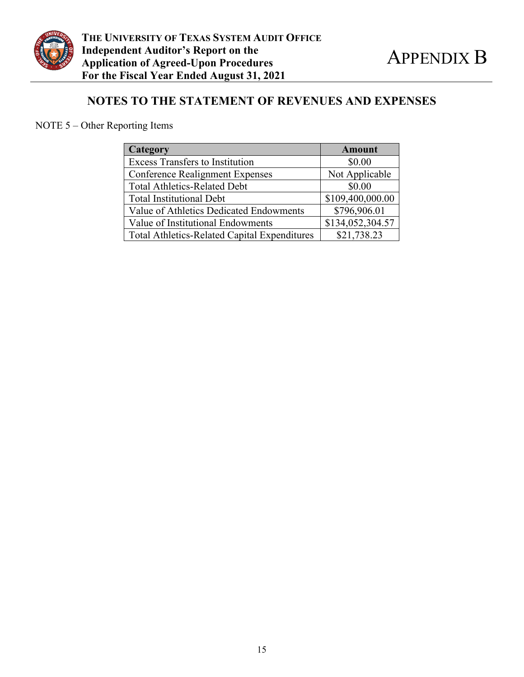

# **NOTES TO THE STATEMENT OF REVENUES AND EXPENSES**

NOTE 5 – Other Reporting Items

| Category                                            | <b>Amount</b>    |  |  |  |
|-----------------------------------------------------|------------------|--|--|--|
| <b>Excess Transfers to Institution</b>              | \$0.00           |  |  |  |
| <b>Conference Realignment Expenses</b>              | Not Applicable   |  |  |  |
| <b>Total Athletics-Related Debt</b>                 | \$0.00           |  |  |  |
| <b>Total Institutional Debt</b>                     | \$109,400,000.00 |  |  |  |
| Value of Athletics Dedicated Endowments             | \$796,906.01     |  |  |  |
| Value of Institutional Endowments                   | \$134,052,304.57 |  |  |  |
| <b>Total Athletics-Related Capital Expenditures</b> | \$21,738.23      |  |  |  |